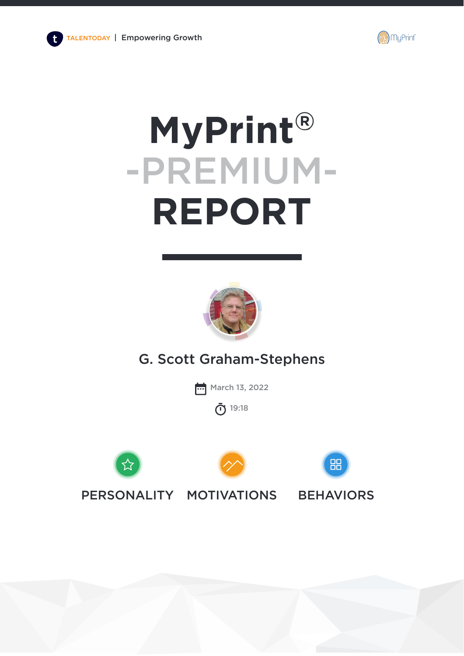

# **MyPrint®** -PREMIUM-**REPORT**



G. Scott Graham-Stephens

**March 13, 2022** 

19:18 (n)







PERSONALITY MOTIVATIONS BEHAVIORS

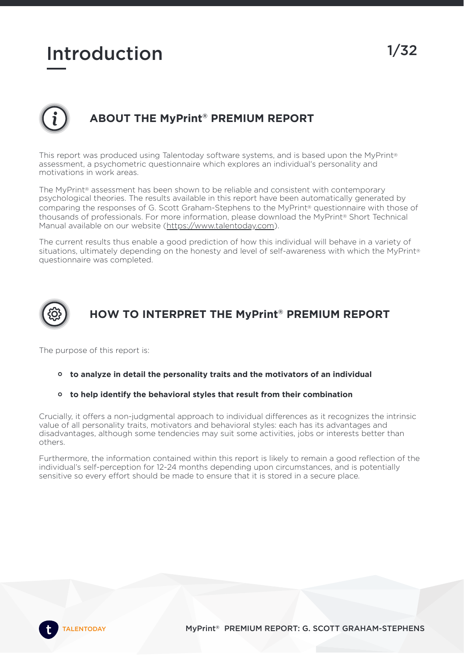# Introduction 1/32

# **ABOUT THE MyPrint ® PREMIUM REPORT**

This report was produced using Talentoday software systems, and is based upon the MyPrint® assessment, a psychometric questionnaire which explores an individual's personality and motivations in work areas.

The MyPrint® assessment has been shown to be reliable and consistent with contemporary psychological theories. The results available in this report have been automatically generated by comparing the responses of G. Scott Graham-Stephens to the MyPrint® questionnaire with those of thousands of professionals. For more information, please download the MyPrint® Short Technical Manual available on our website [\(https://www.talentoday.com\)](https://www.talentoday.com/).

The current results thus enable a good prediction of how this individual will behave in a variety of situations, ultimately depending on the honesty and level of self-awareness with which the MyPrint® questionnaire was completed.



# **HOW TO INTERPRET THE MyPrint ® PREMIUM REPORT**

The purpose of this report is:

- **to analyze in detail the personality traits and the motivators of an individual**
- **to help identify the behavioral styles that result from their combination**

Crucially, it offers a non-judgmental approach to individual differences as it recognizes the intrinsic value of all personality traits, motivators and behavioral styles: each has its advantages and disadvantages, although some tendencies may suit some activities, jobs or interests better than others.

Furthermore, the information contained within this report is likely to remain a good reflection of the individual's self-perception for 12-24 months depending upon circumstances, and is potentially sensitive so every effort should be made to ensure that it is stored in a secure place.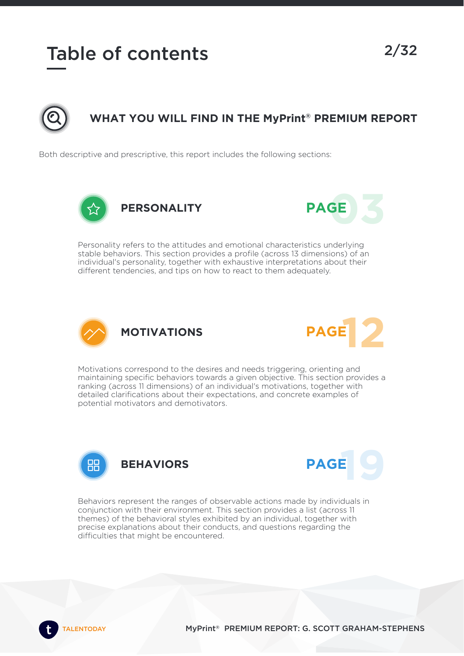# Table of contents 2/32



# **WHAT YOU WILL FIND IN THE MyPrint ® PREMIUM REPORT**

Both descriptive and prescriptive, this report includes the following sections:





Personality refers to the attitudes and emotional characteristics underlying stable behaviors. This section provides a profile (across 13 dimensions) of an individual's personality, together with exhaustive interpretations about their different tendencies, and tips on how to react to them adequately.





Motivations correspond to the desires and needs triggering, orienting and maintaining specific behaviors towards a given objective. This section provides a ranking (across 11 dimensions) of an individual's motivations, together with detailed clarifications about their expectations, and concrete examples of potential motivators and demotivators.





Behaviors represent the ranges of observable actions made by individuals in conjunction with their environment. This section provides a list (across 11 themes) of the behavioral styles exhibited by an individual, together with precise explanations about their conducts, and questions regarding the difficulties that might be encountered.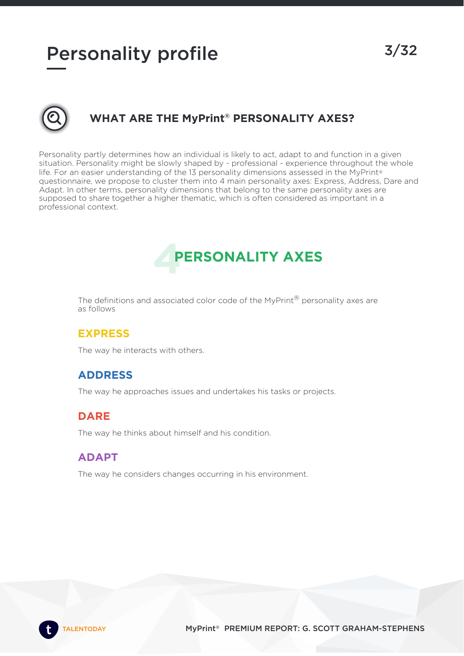# Personality profile 3/32



# **WHAT ARE THE MyPrint ® PERSONALITY AXES?**

Personality partly determines how an individual is likely to act, adapt to and function in a given situation. Personality might be slowly shaped by - professional - experience throughout the whole life. For an easier understanding of the 13 personality dimensions assessed in the MyPrint® questionnaire, we propose to cluster them into 4 main personality axes: Express, Address, Dare and Adapt. In other terms, personality dimensions that belong to the same personality axes are supposed to share together a higher thematic, which is often considered as important in a professional context.

# **4 PERSONALITY AXES**

The definitions and associated color code of the MyPrint® personality axes are as follows

# **EXPRESS**

The way he interacts with others.

### **ADDRESS**

The way he approaches issues and undertakes his tasks or projects.

# **DARE**

The way he thinks about himself and his condition.

# **ADAPT**

The way he considers changes occurring in his environment.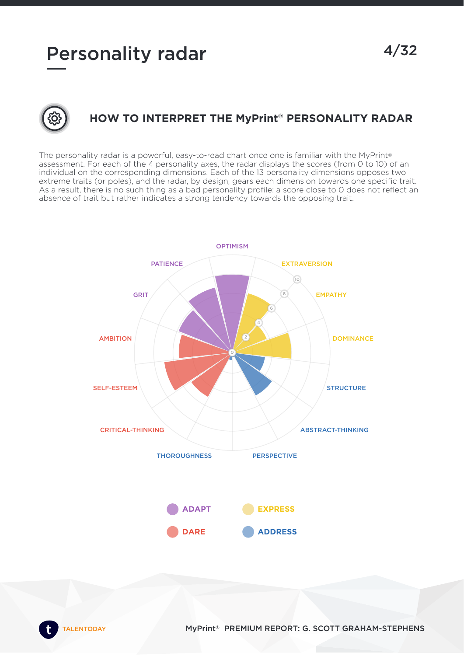# Personality radar 4/32



# **HOW TO INTERPRET THE MyPrint ® PERSONALITY RADAR**

The personality radar is a powerful, easy-to-read chart once one is familiar with the MyPrint® assessment. For each of the 4 personality axes, the radar displays the scores (from 0 to 10) of an individual on the corresponding dimensions. Each of the 13 personality dimensions opposes two extreme traits (or poles), and the radar, by design, gears each dimension towards one specific trait. As a result, there is no such thing as a bad personality profile: a score close to 0 does not reflect an absence of trait but rather indicates a strong tendency towards the opposing trait.

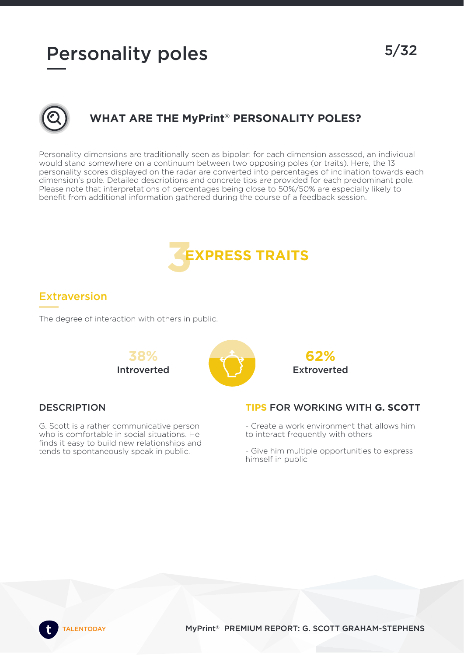5/32



# **WHAT ARE THE MyPrint ® PERSONALITY POLES?**

Personality dimensions are traditionally seen as bipolar: for each dimension assessed, an individual would stand somewhere on a continuum between two opposing poles (or traits). Here, the 13 personality scores displayed on the radar are converted into percentages of inclination towards each dimension's pole. Detailed descriptions and concrete tips are provided for each predominant pole. Please note that interpretations of percentages being close to 50%/50% are especially likely to benefit from additional information gathered during the course of a feedback session.



# Extraversion

The degree of interaction with others in public.



### **DESCRIPTION**

G. Scott is a rather communicative person who is comfortable in social situations. He finds it easy to build new relationships and tends to spontaneously speak in public.



#### **TIPS** FOR WORKING WITH **G. SCOTT**

- Create a work environment that allows him to interact frequently with others

- Give him multiple opportunities to express himself in public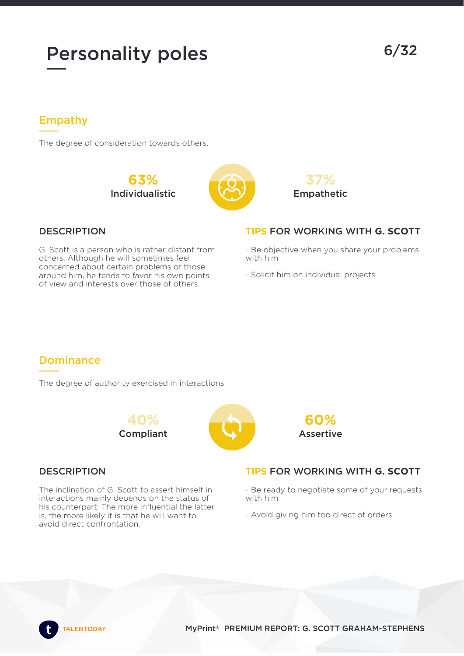# Empathy

The degree of consideration towards others.

**63%** Individualistic





# **DESCRIPTION**

G. Scott is a person who is rather distant from others. Although he will sometimes feel concerned about certain problems of those around him, he tends to favor his own points of view and interests over those of others.

### **TIPS** FOR WORKING WITH **G. SCOTT**

- Be objective when you share your problems with him

- Solicit him on individual projects

# Dominance

The degree of authority exercised in interactions.



#### **DESCRIPTION**

The inclination of G. Scott to assert himself in interactions mainly depends on the status of his counterpart. The more influential the latter is, the more likely it is that he will want to avoid direct confrontation.



### **TIPS** FOR WORKING WITH **G. SCOTT**

- Be ready to negotiate some of your requests with him
- Avoid giving him too direct of orders

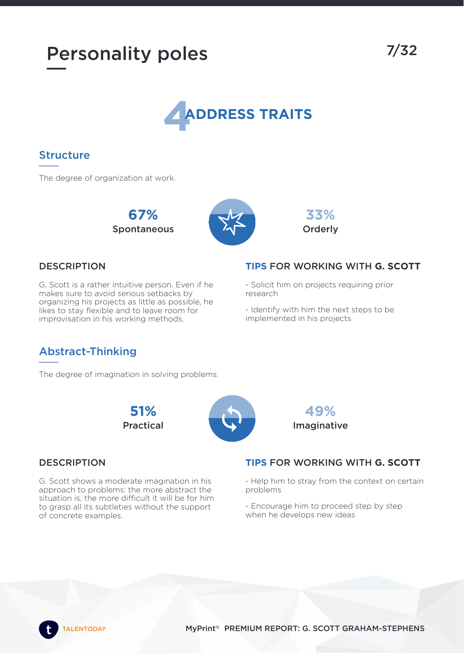

# Structure

The degree of organization at work.

**67%** Spontaneous





#### **DESCRIPTION**

G. Scott is a rather intuitive person. Even if he makes sure to avoid serious setbacks by organizing his projects as little as possible, he likes to stay flexible and to leave room for improvisation in his working methods.

#### **TIPS** FOR WORKING WITH **G. SCOTT**

- Solicit him on projects requiring prior research

- Identify with him the next steps to be implemented in his projects

> **49%** Imaginative

# Abstract-Thinking

The degree of imagination in solving problems.

**51%** Practical



# **DESCRIPTION**

G. Scott shows a moderate imagination in his approach to problems: the more abstract the situation is, the more difficult it will be for him to grasp all its subtleties without the support of concrete examples.



- Help him to stray from the context on certain problems

- Encourage him to proceed step by step when he develops new ideas

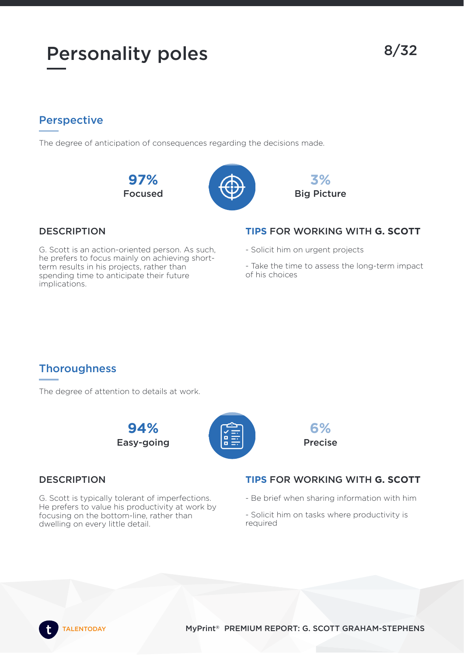# **Perspective**

The degree of anticipation of consequences regarding the decisions made.







# **DESCRIPTION**

G. Scott is an action-oriented person. As such, he prefers to focus mainly on achieving shortterm results in his projects, rather than spending time to anticipate their future implications.

# **TIPS** FOR WORKING WITH **G. SCOTT**

- Solicit him on urgent projects
- Take the time to assess the long-term impact of his choices

# **Thoroughness**

The degree of attention to details at work.





### **DESCRIPTION**

G. Scott is typically tolerant of imperfections. He prefers to value his productivity at work by focusing on the bottom-line, rather than dwelling on every little detail.

# **TIPS** FOR WORKING WITH **G. SCOTT**

**6%** Precise

- Be brief when sharing information with him
- Solicit him on tasks where productivity is required

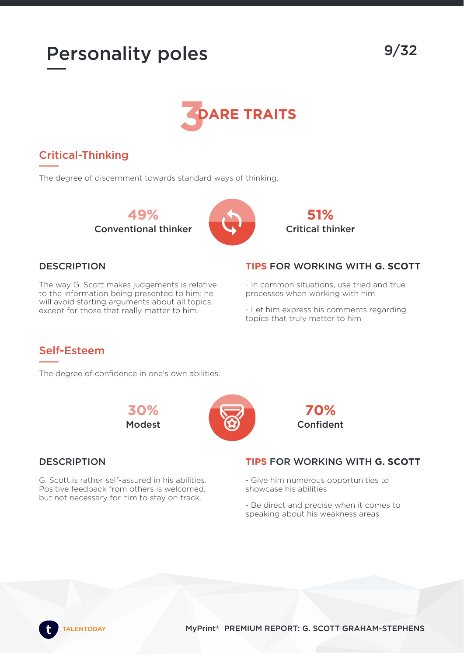

# Critical-Thinking

The degree of discernment towards standard ways of thinking.

**49%** Conventional thinker



**51%** Critical thinker

### **DESCRIPTION**

The way G. Scott makes judgements is relative to the information being presented to him: he will avoid starting arguments about all topics, except for those that really matter to him.

#### **TIPS** FOR WORKING WITH **G. SCOTT**

- In common situations, use tried and true processes when working with him

- Let him express his comments regarding topics that truly matter to him

# Self-Esteem

The degree of confidence in one's own abilities.





G. Scott is rather self-assured in his abilities. Positive feedback from others is welcomed, but not necessary for him to stay on track.



### **TIPS** FOR WORKING WITH **G. SCOTT**

- Give him numerous opportunities to showcase his abilities

- Be direct and precise when it comes to speaking about his weakness areas

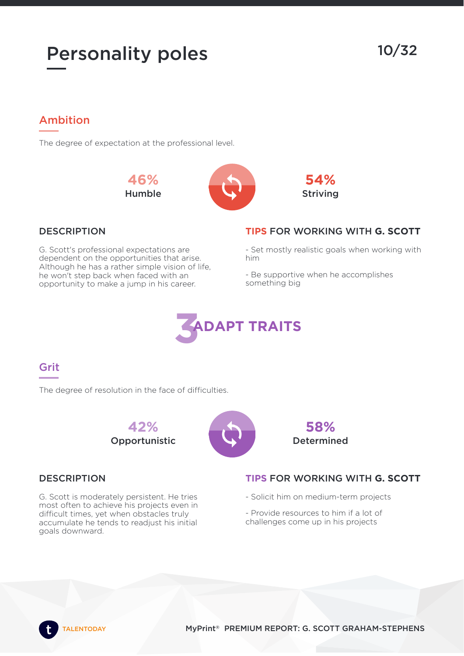10/32

# Ambition

The degree of expectation at the professional level.

**46%** Humble





### **DESCRIPTION**

G. Scott's professional expectations are dependent on the opportunities that arise. Although he has a rather simple vision of life, he won't step back when faced with an opportunity to make a jump in his career.

### **TIPS** FOR WORKING WITH **G. SCOTT**

- Set mostly realistic goals when working with him

- Be supportive when he accomplishes something big



# Grit

The degree of resolution in the face of difficulties.





### **DESCRIPTION**

G. Scott is moderately persistent. He tries most often to achieve his projects even in difficult times, yet when obstacles truly accumulate he tends to readjust his initial goals downward.

### **TIPS** FOR WORKING WITH **G. SCOTT**

- Solicit him on medium-term projects

**58%** Determined

- Provide resources to him if a lot of challenges come up in his projects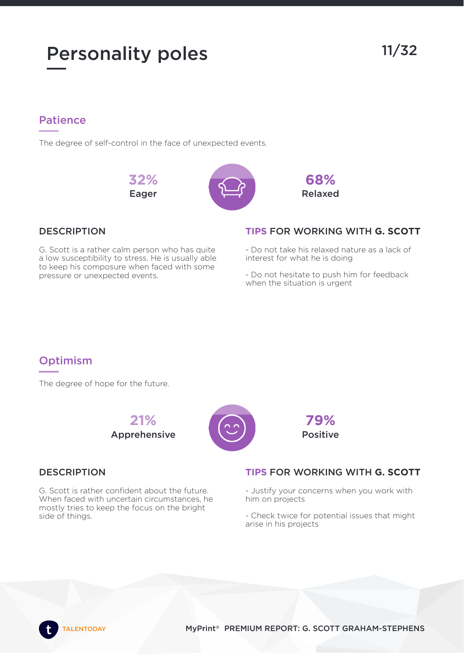# Personality poles 11/32

# Patience

The degree of self-control in the face of unexpected events.

**32%** Eager





# **DESCRIPTION**

G. Scott is a rather calm person who has quite a low susceptibility to stress. He is usually able to keep his composure when faced with some pressure or unexpected events.

# **TIPS** FOR WORKING WITH **G. SCOTT**

- Do not take his relaxed nature as a lack of interest for what he is doing

- Do not hesitate to push him for feedback when the situation is urgent

# **Optimism**

The degree of hope for the future.



#### **DESCRIPTION**

G. Scott is rather confident about the future. When faced with uncertain circumstances, he mostly tries to keep the focus on the bright side of things.

### **TIPS** FOR WORKING WITH **G. SCOTT**

**79%** Positive

- Justify your concerns when you work with him on projects

- Check twice for potential issues that might arise in his projects

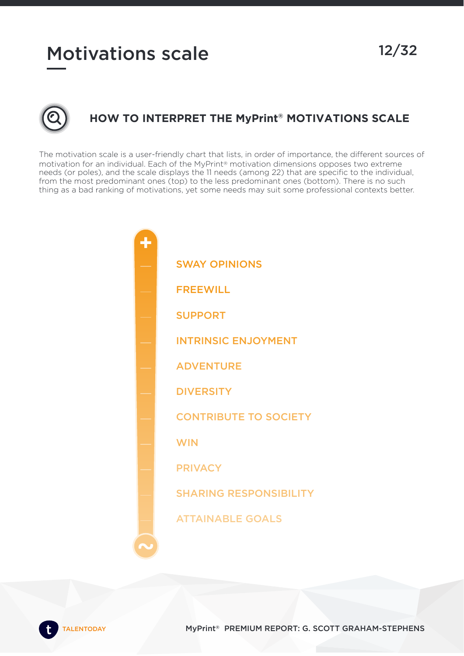# Motivations scale 12/32



# **HOW TO INTERPRET THE MyPrint ® MOTIVATIONS SCALE**

The motivation scale is a user-friendly chart that lists, in order of importance, the different sources of motivation for an individual. Each of the MyPrint® motivation dimensions opposes two extreme needs (or poles), and the scale displays the 11 needs (among 22) that are specific to the individual, from the most predominant ones (top) to the less predominant ones (bottom). There is no such thing as a bad ranking of motivations, yet some needs may suit some professional contexts better.

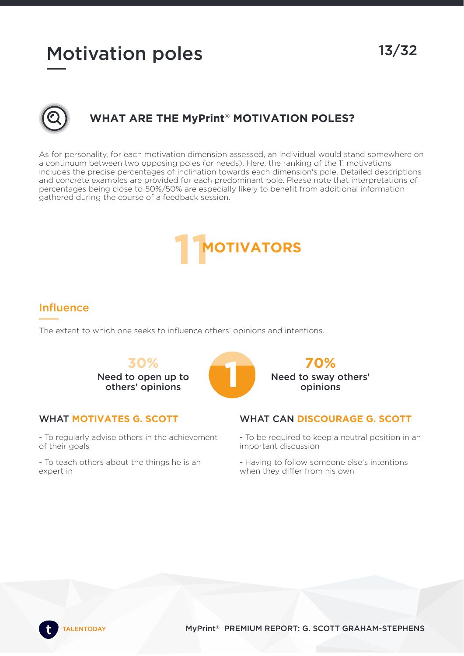# Motivation poles 13/32



# **WHAT ARE THE MyPrint ® MOTIVATION POLES?**

As for personality, for each motivation dimension assessed, an individual would stand somewhere on a continuum between two opposing poles (or needs). Here, the ranking of the 11 motivations includes the precise percentages of inclination towards each dimension's pole. Detailed descriptions and concrete examples are provided for each predominant pole. Please note that interpretations of percentages being close to 50%/50% are especially likely to benefit from additional information gathered during the course of a feedback session.



# Influence

The extent to which one seeks to influence others' opinions and intentions.

**30%** Need to open up to **10%**<br>eed to open up to<br>others' opinions



#### WHAT **MOTIVATES G. SCOTT**

- To regularly advise others in the achievement of their goals

- To teach others about the things he is an expert in

#### WHAT CAN **DISCOURAGE G. SCOTT**

**70%** Need to sway others' opinions

- To be required to keep a neutral position in an important discussion

- Having to follow someone else's intentions when they differ from his own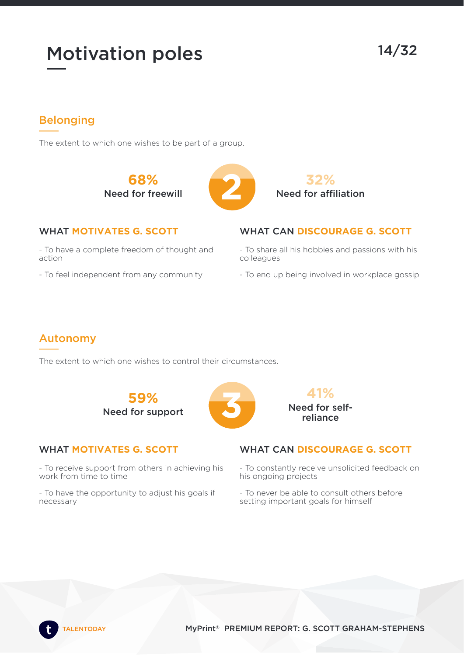14/32

# Belonging

The extent to which one wishes to be part of a group.

**68%** Need for freewill **2**





### WHAT **MOTIVATES G. SCOTT**

- To have a complete freedom of thought and action

- To feel independent from any community

# WHAT CAN **DISCOURAGE G. SCOTT**

- To share all his hobbies and passions with his colleagues

- To end up being involved in workplace gossip

# Autonomy

The extent to which one wishes to control their circumstances.

**59% Need for support** 

#### WHAT **MOTIVATES G. SCOTT**

- To receive support from others in achieving his work from time to time

- To have the opportunity to adjust his goals if necessary



### WHAT CAN **DISCOURAGE G. SCOTT**

- To constantly receive unsolicited feedback on his ongoing projects

- To never be able to consult others before setting important goals for himself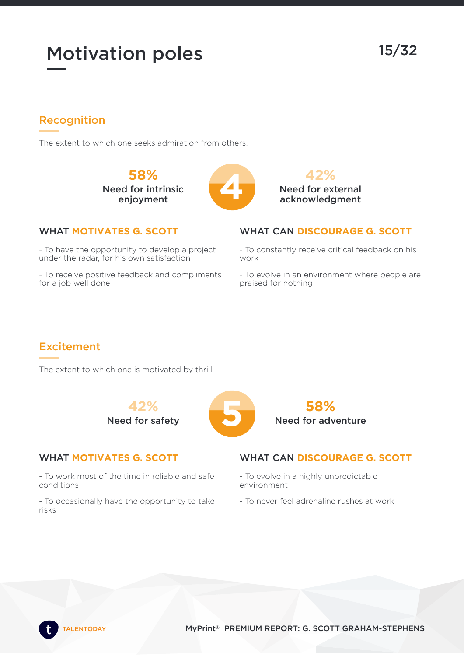15/32

# Recognition

The extent to which one seeks admiration from others.

**58%** Need for intrinsic **198%**<br>ed for intrinsic<br>enjoyment





### WHAT **MOTIVATES G. SCOTT**

- To have the opportunity to develop a project under the radar, for his own satisfaction

- To receive positive feedback and compliments for a job well done

### WHAT CAN **DISCOURAGE G. SCOTT**

- To constantly receive critical feedback on his work

- To evolve in an environment where people are praised for nothing

# **Excitement**

The extent to which one is motivated by thrill.

**42% Need for safety** 

# WHAT **MOTIVATES G. SCOTT**

- To work most of the time in reliable and safe conditions

- To occasionally have the opportunity to take risks



### WHAT CAN **DISCOURAGE G. SCOTT**

- To evolve in a highly unpredictable environment
- To never feel adrenaline rushes at work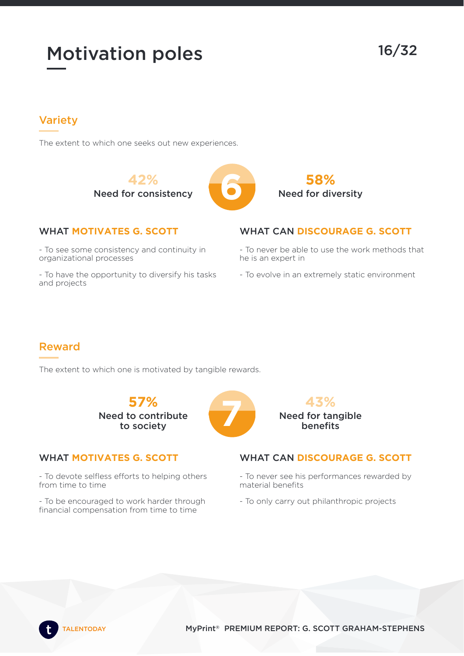16/32

# Variety

The extent to which one seeks out new experiences.

**42%** Need for consistency **6**





#### WHAT **MOTIVATES G. SCOTT**

- To see some consistency and continuity in organizational processes

- To have the opportunity to diversify his tasks and projects

### WHAT CAN **DISCOURAGE G. SCOTT**

- To never be able to use the work methods that he is an expert in

- To evolve in an extremely static environment

# Reward

The extent to which one is motivated by tangible rewards.

**57%** Need to contribute **57%**<br>to contribute<br>to society

#### WHAT **MOTIVATES G. SCOTT**

- To devote selfless efforts to helping others from time to time

- To be encouraged to work harder through financial compensation from time to time



#### WHAT CAN **DISCOURAGE G. SCOTT**

- To never see his performances rewarded by material benefits
- To only carry out philanthropic projects

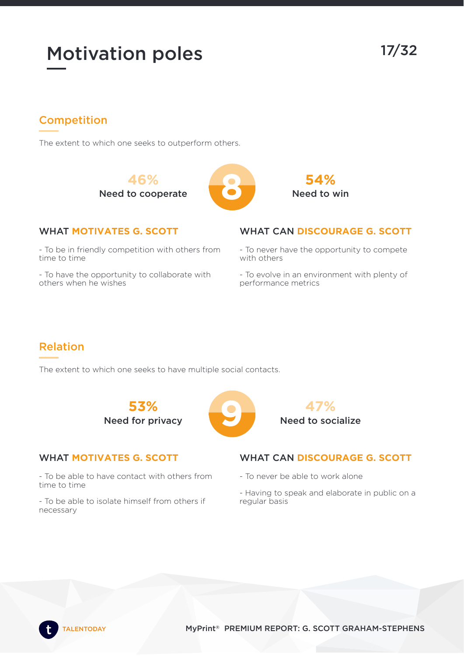17/32

# Competition

The extent to which one seeks to outperform others.

**46%** Need to cooperate **8**



#### WHAT **MOTIVATES G. SCOTT**

- To be in friendly competition with others from time to time

- To have the opportunity to collaborate with others when he wishes

# WHAT CAN **DISCOURAGE G. SCOTT**

**54%** Need to win

- To never have the opportunity to compete with others

- To evolve in an environment with plenty of performance metrics

# Relation

The extent to which one seeks to have multiple social contacts.

**53% Need for privacy** 

### WHAT **MOTIVATES G. SCOTT**

- To be able to have contact with others from time to time

- To be able to isolate himself from others if necessary



### WHAT CAN **DISCOURAGE G. SCOTT**

- To never be able to work alone
- Having to speak and elaborate in public on a regular basis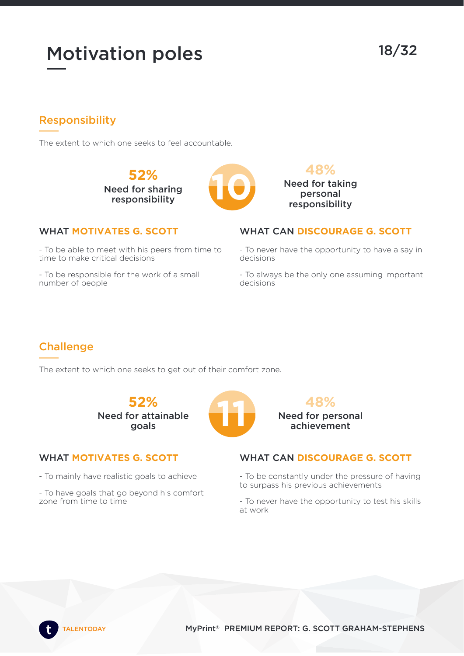# Motivation poles 18/32

# Responsibility

The extent to which one seeks to feel accountable.

**52%** Need for sharing **100**<br>eed for sharing<br>responsibility



#### WHAT **MOTIVATES G. SCOTT**

- To be able to meet with his peers from time to time to make critical decisions

- To be responsible for the work of a small number of people



#### WHAT CAN **DISCOURAGE G. SCOTT**

- To never have the opportunity to have a say in decisions

- To always be the only one assuming important decisions

# **Challenge**

The extent to which one seeks to get out of their comfort zone.

**52%** Need for attainable 52%<br><sup>pr</sup>attainable

#### WHAT **MOTIVATES G. SCOTT**

- To mainly have realistic goals to achieve

- To have goals that go beyond his comfort zone from time to time



# WHAT CAN **DISCOURAGE G. SCOTT**

- To be constantly under the pressure of having to surpass his previous achievements

- To never have the opportunity to test his skills at work

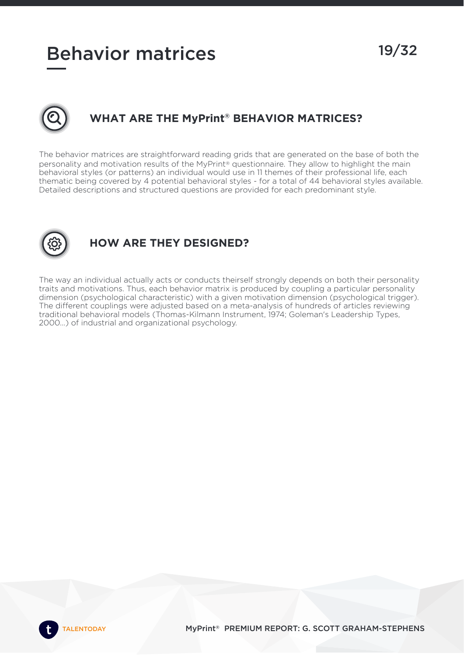# Behavior matrices 19/32



# **WHAT ARE THE MyPrint ® BEHAVIOR MATRICES?**

The behavior matrices are straightforward reading grids that are generated on the base of both the personality and motivation results of the MyPrint® questionnaire. They allow to highlight the main behavioral styles (or patterns) an individual would use in 11 themes of their professional life, each thematic being covered by 4 potential behavioral styles - for a total of 44 behavioral styles available. Detailed descriptions and structured questions are provided for each predominant style.



# **HOW ARE THEY DESIGNED?**

The way an individual actually acts or conducts theirself strongly depends on both their personality traits and motivations. Thus, each behavior matrix is produced by coupling a particular personality dimension (psychological characteristic) with a given motivation dimension (psychological trigger). The different couplings were adjusted based on a meta-analysis of hundreds of articles reviewing traditional behavioral models (Thomas-Kilmann Instrument, 1974; Goleman's Leadership Types, 2000...) of industrial and organizational psychology.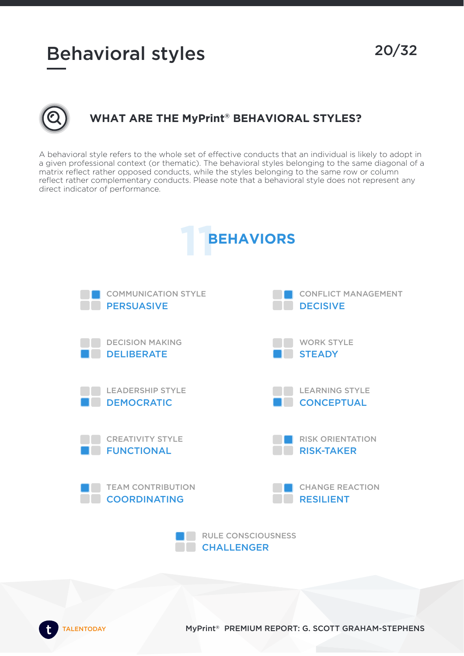# Behavioral styles 20/32



# **WHAT ARE THE MyPrint ® BEHAVIORAL STYLES?**

A behavioral style refers to the whole set of effective conducts that an individual is likely to adopt in a given professional context (or thematic). The behavioral styles belonging to the same diagonal of a matrix reflect rather opposed conducts, while the styles belonging to the same row or column reflect rather complementary conducts. Please note that a behavioral style does not represent any direct indicator of performance.

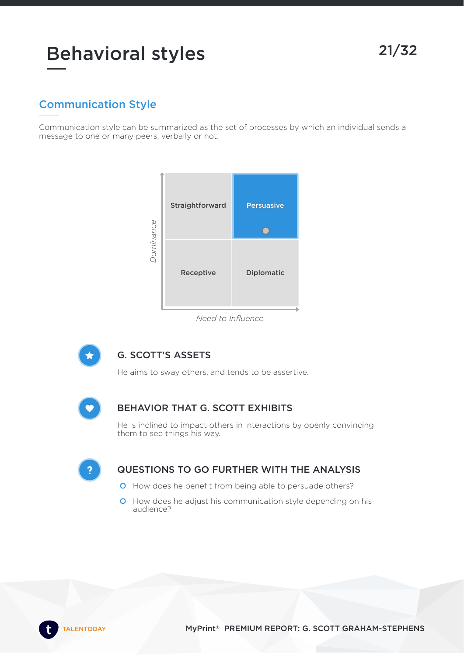# Behavioral styles 21/32

# Communication Style

Communication style can be summarized as the set of processes by which an individual sends a message to one or many peers, verbally or not.



*Need to Influence*



### G. SCOTT'S ASSETS

He aims to sway others, and tends to be assertive.



#### BEHAVIOR THAT G. SCOTT EXHIBITS

He is inclined to impact others in interactions by openly convincing them to see things his way.

G

- O How does he benefit from being able to persuade others?
- O How does he adjust his communication style depending on his audience?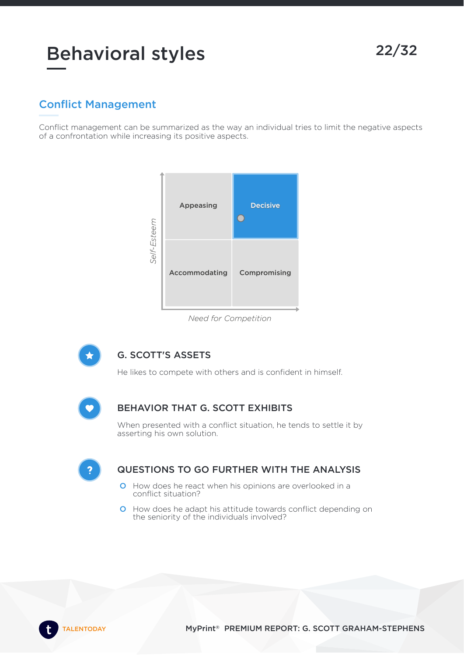# Behavioral styles 22/32

# Conflict Management

Conflict management can be summarized as the way an individual tries to limit the negative aspects of a confrontation while increasing its positive aspects.



*Need for Competition*



### G. SCOTT'S ASSETS

He likes to compete with others and is confident in himself.



#### BEHAVIOR THAT G. SCOTT EXHIBITS

When presented with a conflict situation, he tends to settle it by asserting his own solution.

- O How does he react when his opinions are overlooked in a conflict situation?
- O How does he adapt his attitude towards conflict depending on the seniority of the individuals involved?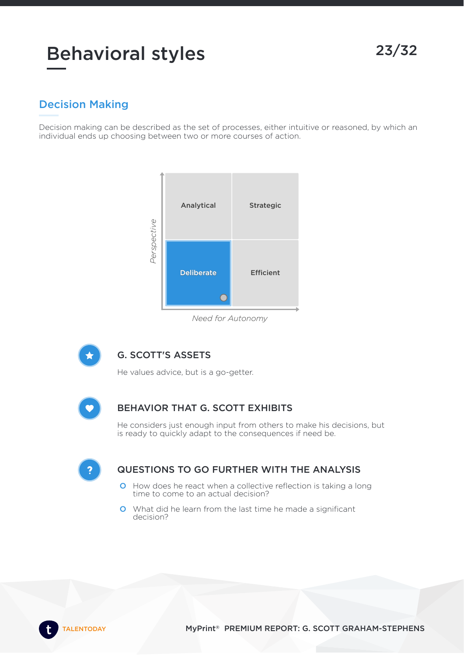# Decision Making

Decision making can be described as the set of processes, either intuitive or reasoned, by which an individual ends up choosing between two or more courses of action.



*Need for Autonomy*



### G. SCOTT'S ASSETS

He values advice, but is a go-getter.



### BEHAVIOR THAT G. SCOTT EXHIBITS

He considers just enough input from others to make his decisions, but is ready to quickly adapt to the consequences if need be.

G

- O How does he react when a collective reflection is taking a long time to come to an actual decision?
- O What did he learn from the last time he made a significant decision?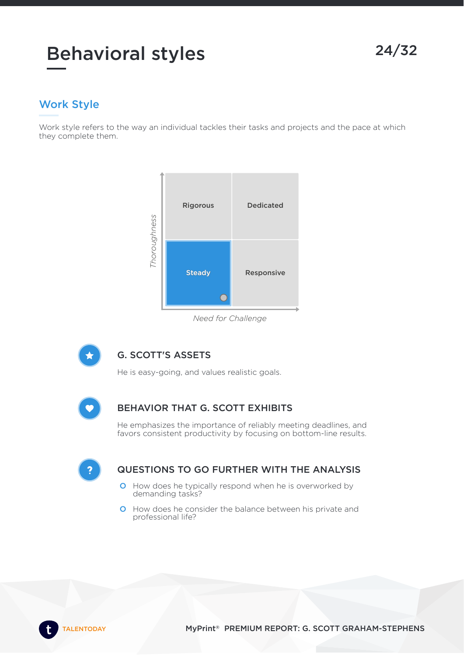# Work Style

Work style refers to the way an individual tackles their tasks and projects and the pace at which they complete them.



#### *Need for Challenge*



### G. SCOTT'S ASSETS

He is easy-going, and values realistic goals.



### BEHAVIOR THAT G. SCOTT EXHIBITS

He emphasizes the importance of reliably meeting deadlines, and favors consistent productivity by focusing on bottom-line results.

G

- O How does he typically respond when he is overworked by demanding tasks?
- O How does he consider the balance between his private and professional life?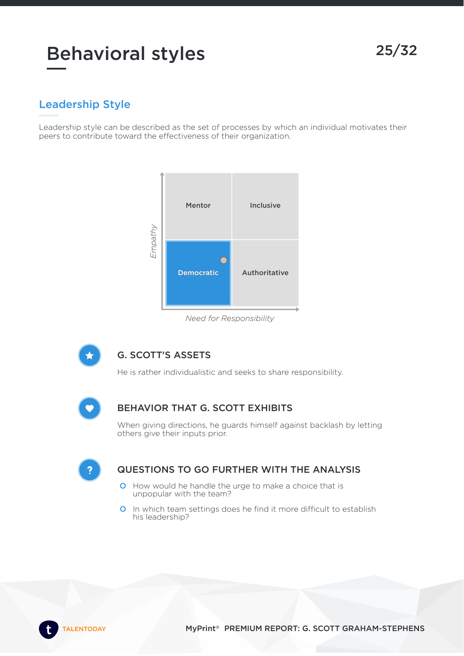# Leadership Style

Leadership style can be described as the set of processes by which an individual motivates their peers to contribute toward the effectiveness of their organization.



*Need for Responsibility*



### G. SCOTT'S ASSETS

He is rather individualistic and seeks to share responsibility.



#### BEHAVIOR THAT G. SCOTT EXHIBITS

When giving directions, he guards himself against backlash by letting others give their inputs prior.

G

- O How would he handle the urge to make a choice that is unpopular with the team?
- O In which team settings does he find it more difficult to establish his leadership?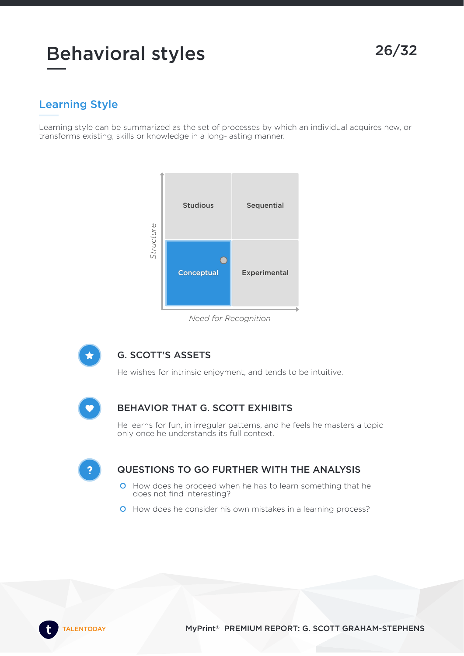# Learning Style

Learning style can be summarized as the set of processes by which an individual acquires new, or transforms existing, skills or knowledge in a long-lasting manner.



#### *Need for Recognition*



### G. SCOTT'S ASSETS

He wishes for intrinsic enjoyment, and tends to be intuitive.



### BEHAVIOR THAT G. SCOTT EXHIBITS

He learns for fun, in irregular patterns, and he feels he masters a topic only once he understands its full context.

G

- O How does he proceed when he has to learn something that he does not find interesting?
- O How does he consider his own mistakes in a learning process?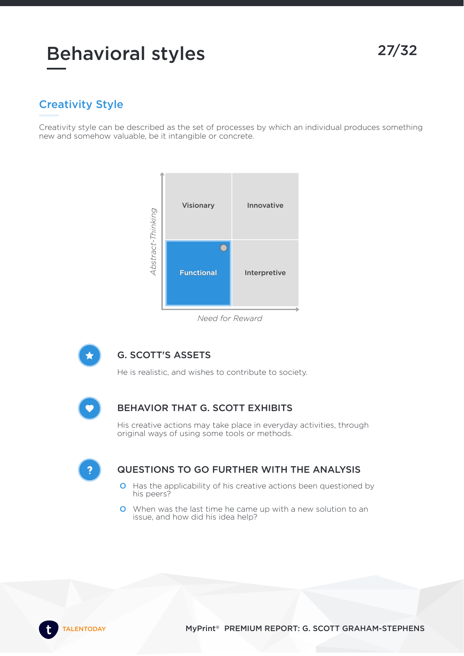# Creativity Style

Creativity style can be described as the set of processes by which an individual produces something new and somehow valuable, be it intangible or concrete.



*Need for Reward*



### G. SCOTT'S ASSETS

He is realistic, and wishes to contribute to society.



### BEHAVIOR THAT G. SCOTT EXHIBITS

His creative actions may take place in everyday activities, through original ways of using some tools or methods.

- O Has the applicability of his creative actions been questioned by his peers?
- O When was the last time he came up with a new solution to an issue, and how did his idea help?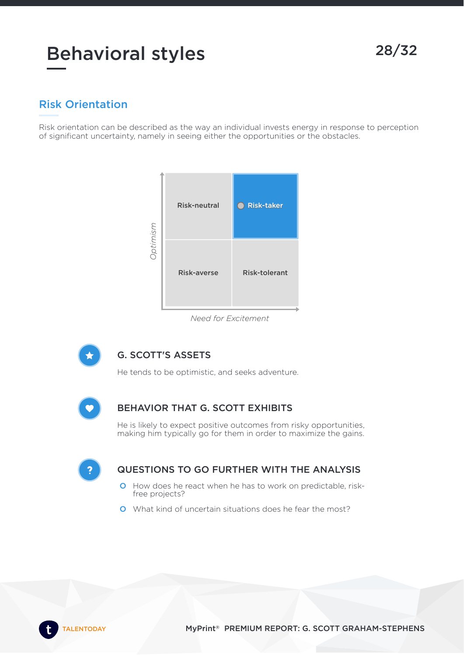# Risk Orientation

Risk orientation can be described as the way an individual invests energy in response to perception of significant uncertainty, namely in seeing either the opportunities or the obstacles.



#### *Need for Excitement*



# G. SCOTT'S ASSETS

He tends to be optimistic, and seeks adventure.



### BEHAVIOR THAT G. SCOTT EXHIBITS

He is likely to expect positive outcomes from risky opportunities, making him typically go for them in order to maximize the gains.

G

- O How does he react when he has to work on predictable, riskfree projects?
- O What kind of uncertain situations does he fear the most?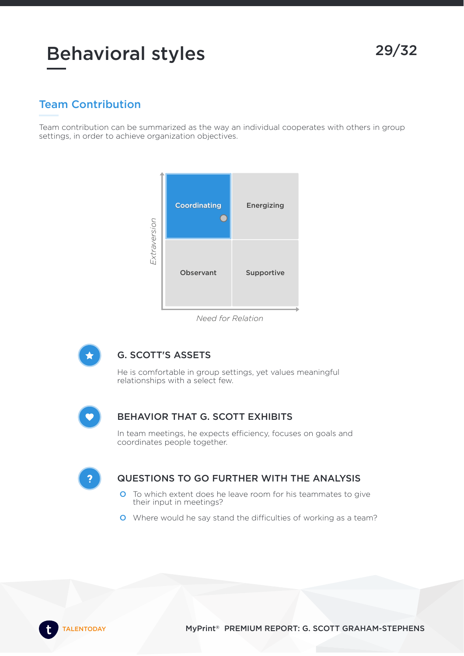Team contribution can be summarized as the way an individual cooperates with others in group settings, in order to achieve organization objectives.



*Need for Relation*



### G. SCOTT'S ASSETS

He is comfortable in group settings, yet values meaningful relationships with a select few.

#### BEHAVIOR THAT G. SCOTT EXHIBITS

In team meetings, he expects efficiency, focuses on goals and coordinates people together.

 $\mathbf{P}$ 

- O To which extent does he leave room for his teammates to give their input in meetings?
- O Where would he say stand the difficulties of working as a team?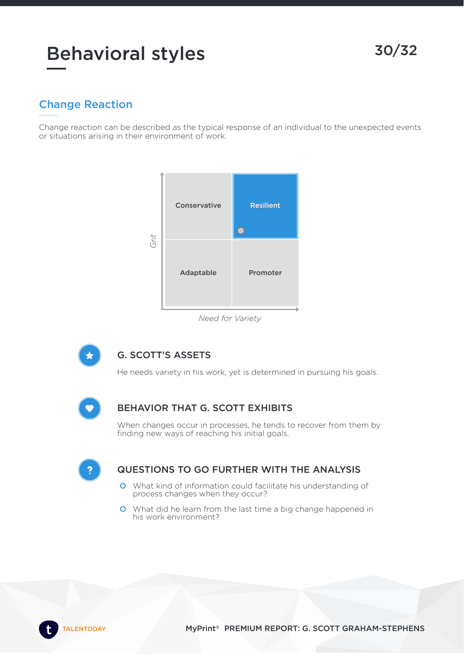# Behavioral styles 30/32

# Change Reaction

Change reaction can be described as the typical response of an individual to the unexpected events or situations arising in their environment of work.



#### *Need for Variety*



### G. SCOTT'S ASSETS

He needs variety in his work, yet is determined in pursuing his goals.



### BEHAVIOR THAT G. SCOTT EXHIBITS

When changes occur in processes, he tends to recover from them by finding new ways of reaching his initial goals.

G

- O What kind of information could facilitate his understanding of process changes when they occur?
- O What did he learn from the last time a big change happened in his work environment?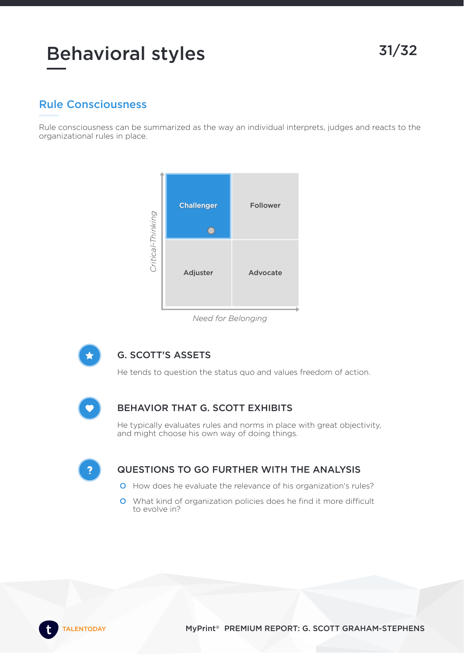# Behavioral styles 31/32

# Rule Consciousness

Rule consciousness can be summarized as the way an individual interprets, judges and reacts to the organizational rules in place.



#### *Need for Belonging*



### G. SCOTT'S ASSETS

He tends to question the status quo and values freedom of action.



### BEHAVIOR THAT G. SCOTT EXHIBITS

He typically evaluates rules and norms in place with great objectivity, and might choose his own way of doing things.

G

- O How does he evaluate the relevance of his organization's rules?
- O What kind of organization policies does he find it more difficult to evolve in?